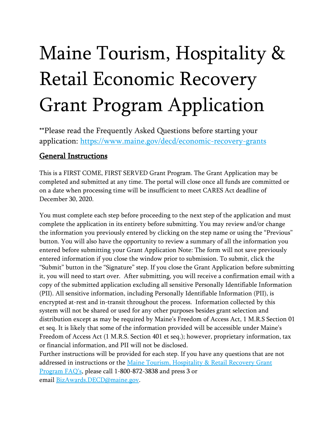# Maine Tourism, Hospitality & Retail Economic Recovery Grant Program Application

\*\*Please read the Frequently Asked Questions before starting your application: <https://www.maine.gov/decd/economic-recovery-grants>

# General Instructions

This is a FIRST COME, FIRST SERVED Grant Program. The Grant Application may be completed and submitted at any time. The portal will close once all funds are committed or on a date when processing time will be insufficient to meet CARES Act deadline of December 30, 2020.

You must complete each step before proceeding to the next step of the application and must complete the application in its entirety before submitting. You may review and/or change the information you previously entered by clicking on the step name or using the "Previous" button. You will also have the opportunity to review a summary of all the information you entered before submitting your Grant Application Note: The form will not save previously entered information if you close the window prior to submission. To submit, click the "Submit" button in the "Signature" step. If you close the Grant Application before submitting it, you will need to start over. After submitting, you will receive a confirmation email with a copy of the submitted application excluding all sensitive Personally Identifiable Information (PII). All sensitive information, including Personally Identifiable Information (PII), is encrypted at-rest and in-transit throughout the process. Information collected by this system will not be shared or used for any other purposes besides grant selection and distribution except as may be required by Maine's Freedom of Access Act, 1 M.R.S Section 01 et seq. It is likely that some of the information provided will be accessible under Maine's Freedom of Access Act (1 M.R.S. Section 401 et seq.); however, proprietary information, tax or financial information, and PII will not be disclosed.

Further instructions will be provided for each step. If you have any questions that are not addressed in instructions or the [Maine Tourism, Hospitality](https://www.maine.gov/decd/economic-recovery-grants) & Retail Recovery Grant [Program FAQ's](https://www.maine.gov/decd/economic-recovery-grants), please call 1-800-872-3838 and press 3 or email [BizAwards.DECD@maine.gov.](mailto:BizAwards.DECD@maine.gov)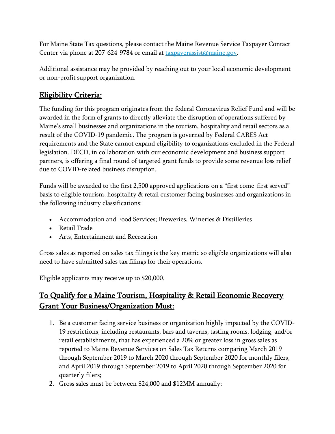For Maine State Tax questions, please contact the Maine Revenue Service Taxpayer Contact Center via phone at 207-624-9784 or email at [taxpayerassist@maine.gov.](mailto:taxpayerassist@maine.gov)

Additional assistance may be provided by reaching out to your local economic development or non-profit support organization.

## Eligibility Criteria:

The funding for this program originates from the federal Coronavirus Relief Fund and will be awarded in the form of grants to directly alleviate the disruption of operations suffered by Maine's small businesses and organizations in the tourism, hospitality and retail sectors as a result of the COVID-19 pandemic. The program is governed by Federal CARES Act requirements and the State cannot expand eligibility to organizations excluded in the Federal legislation. DECD, in collaboration with our economic development and business support partners, is offering a final round of targeted grant funds to provide some revenue loss relief due to COVID-related business disruption.

Funds will be awarded to the first 2,500 approved applications on a "first come-first served" basis to eligible tourism, hospitality & retail customer facing businesses and organizations in the following industry classifications:

- Accommodation and Food Services; Breweries, Wineries & Distilleries
- Retail Trade
- Arts, Entertainment and Recreation

Gross sales as reported on sales tax filings is the key metric so eligible organizations will also need to have submitted sales tax filings for their operations.

Eligible applicants may receive up to \$20,000.

# To Qualify for a Maine Tourism, Hospitality & Retail Economic Recovery Grant Your Business/Organization Must:

- 1. Be a customer facing service business or organization highly impacted by the COVID-19 restrictions, including restaurants, bars and taverns, tasting rooms, lodging, and/or retail establishments, that has experienced a 20% or greater loss in gross sales as reported to Maine Revenue Services on Sales Tax Returns comparing March 2019 through September 2019 to March 2020 through September 2020 for monthly filers, and April 2019 through September 2019 to April 2020 through September 2020 for quarterly filers;
- 2. Gross sales must be between \$24,000 and \$12MM annually;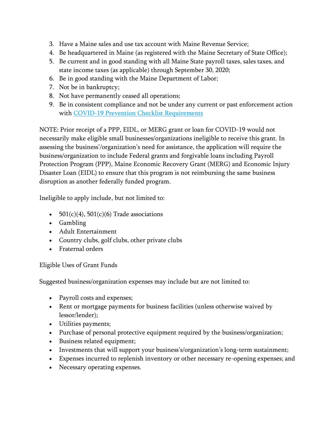- 3. Have a Maine sales and use tax account with Maine Revenue Service;
- 4. Be headquartered in Maine (as registered with the Maine Secretary of State Office);
- 5. Be current and in good standing with all Maine State payroll taxes, sales taxes, and state income taxes (as applicable) through September 30, 2020;
- 6. Be in good standing with the Maine Department of Labor;
- 7. Not be in bankruptcy;
- 8. Not have permanently ceased all operations;
- 9. Be in consistent compliance and not be under any current or past enforcement action with [COVID-19 Prevention Checklist Requirements](https://www.maine.gov/decd/covid-19-prevention-checklists)

NOTE: Prior receipt of a PPP, EIDL, or MERG grant or loan for COVID-19 would not necessarily make eligible small businesses/organizations ineligible to receive this grant. In assessing the business'/organization's need for assistance, the application will require the business/organization to include Federal grants and forgivable loans including Payroll Protection Program (PPP), Maine Economic Recovery Grant (MERG) and Economic Injury Disaster Loan (EIDL) to ensure that this program is not reimbursing the same business disruption as another federally funded program.

Ineligible to apply include, but not limited to:

- $501(c)(4)$ ,  $501(c)(6)$  Trade associations
- Gambling
- Adult Entertainment
- Country clubs, golf clubs, other private clubs
- Fraternal orders

## Eligible Uses of Grant Funds

Suggested business/organization expenses may include but are not limited to:

- Payroll costs and expenses;
- Rent or mortgage payments for business facilities (unless otherwise waived by lessor/lender);
- Utilities payments;
- Purchase of personal protective equipment required by the business/organization;
- Business related equipment;
- Investments that will support your business's/organization's long-term sustainment;
- Expenses incurred to replenish inventory or other necessary re-opening expenses; and
- Necessary operating expenses.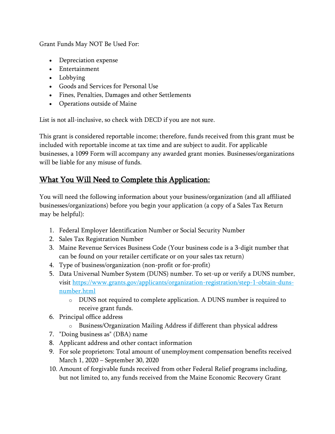Grant Funds May NOT Be Used For:

- Depreciation expense
- Entertainment
- Lobbying
- Goods and Services for Personal Use
- Fines, Penalties, Damages and other Settlements
- Operations outside of Maine

List is not all-inclusive, so check with DECD if you are not sure.

This grant is considered reportable income; therefore, funds received from this grant must be included with reportable income at tax time and are subject to audit. For applicable businesses, a 1099 Form will accompany any awarded grant monies. Businesses/organizations will be liable for any misuse of funds.

# What You Will Need to Complete this Application:

You will need the following information about your business/organization (and all affiliated businesses/organizations) before you begin your application (a copy of a Sales Tax Return may be helpful):

- 1. Federal Employer Identification Number or Social Security Number
- 2. Sales Tax Registration Number
- 3. Maine Revenue Services Business Code (Your business code is a 3-digit number that can be found on your retailer certificate or on your sales tax return)
- 4. Type of business/organization (non-profit or for-profit)
- 5. Data Universal Number System (DUNS) number. To set-up or verify a DUNS number, visit [https://www.grants.gov/applicants/organization-registration/step-1-obtain-duns](https://www.grants.gov/applicants/organization-registration/step-1-obtain-duns-number.html)[number.html](https://www.grants.gov/applicants/organization-registration/step-1-obtain-duns-number.html)
	- o DUNS not required to complete application. A DUNS number is required to receive grant funds.
- 6. Principal office address
	- o Business/Organization Mailing Address if different than physical address
- 7. "Doing business as" (DBA) name
- 8. Applicant address and other contact information
- 9. For sole proprietors: Total amount of unemployment compensation benefits received March 1, 2020 – September 30, 2020
- 10. Amount of forgivable funds received from other Federal Relief programs including, but not limited to, any funds received from the Maine Economic Recovery Grant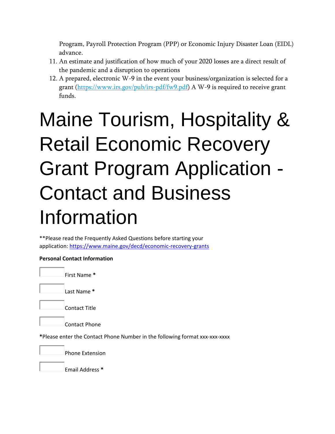Program, Payroll Protection Program (PPP) or Economic Injury Disaster Loan (EIDL) advance.

- 11. An estimate and justification of how much of your 2020 losses are a direct result of the pandemic and a disruption to operations
- 12. A prepared, electronic W-9 in the event your business/organization is selected for a grant [\(https://www.irs.gov/pub/irs-pdf/fw9.pdf\)](https://www.irs.gov/pub/irs-pdf/fw9.pdf) A W-9 is required to receive grant funds.

# Maine Tourism, Hospitality & Retail Economic Recovery Grant Program Application - Contact and Business Information

\*\*Please read the Frequently Asked Questions before starting your application: <https://www.maine.gov/decd/economic-recovery-grants>

## **Personal Contact Information**

First Name **\***

Last Name **\***

Contact Title

Contact Phone

**\***Please enter the Contact Phone Number in the following format xxx-xxx-xxxx

Phone Extension

Email Address **\***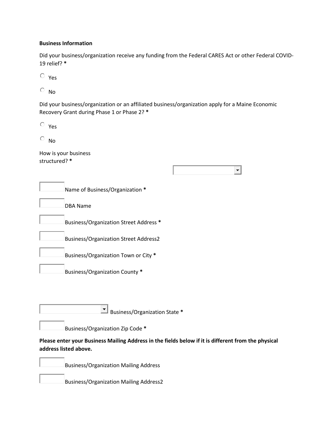#### **Business Information**

Did your business/organization receive any funding from the Federal CARES Act or other Federal COVID-19 relief? **\***

Yes

 $\circ$  No

Did your business/organization or an affiliated business/organization apply for a Maine Economic Recovery Grant during Phase 1 or Phase 2? **\***

 $\left| \right. \right.$ 

Yes

 $\circ$  No.

How is your business structured? **\***

Name of Business/Organization **\***

DBA Name

Business/Organization Street Address **\***

Business/Organization Street Address2

Business/Organization Town or City **\***

Business/Organization County **\***

Business/Organization State **\***

Business/Organization Zip Code **\***

**Please enter your Business Mailing Address in the fields below if it is different from the physical address listed above.**

Business/Organization Mailing Address

Business/Organization Mailing Address2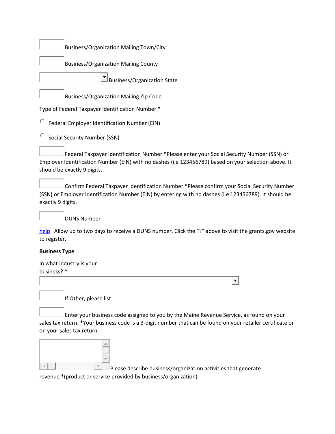| <b>Business/Organization Mailing Town/City</b>                                                                                                                                                                                    |
|-----------------------------------------------------------------------------------------------------------------------------------------------------------------------------------------------------------------------------------|
| <b>Business/Organization Mailing County</b>                                                                                                                                                                                       |
| Business/Organization State                                                                                                                                                                                                       |
| <b>Business/Organization Mailing Zip Code</b>                                                                                                                                                                                     |
| Type of Federal Taxpayer Identification Number *                                                                                                                                                                                  |
| Federal Employer Identification Number (EIN)                                                                                                                                                                                      |
| <b>Social Security Number (SSN)</b>                                                                                                                                                                                               |
| Federal Taxpayer Identification Number *Please enter your Social Security Number (SSN) or<br>Employer Identification Number (EIN) with no dashes (i.e 123456789) based on your selection above. It<br>should be exactly 9 digits. |
| Confirm Federal Taxpayer Identification Number *Please confirm your Social Security Number<br>(SSN) or Employer Identification Number (EIN) by entering with no dashes (i.e 123456789). It should be<br>exactly 9 digits.         |
| <b>DUNS Number</b>                                                                                                                                                                                                                |
| help Allow up to two days to receive a DUNS number. Click the "?" above to visit the grants.gov website<br>to register.                                                                                                           |
| <b>Business Type</b>                                                                                                                                                                                                              |
| In what industry is your<br>business? *                                                                                                                                                                                           |
|                                                                                                                                                                                                                                   |
| If Other, please list                                                                                                                                                                                                             |
| Enter your business code assigned to you by the Maine Revenue Service, as found on your<br>sales tax return. *Your business code is a 3-digit number that can be found on your retailer certificate or                            |
| on your sales tax return.                                                                                                                                                                                                         |

 $\Box$ Please describe business/organization activities that generate revenue **\***(product or service provided by business/organization)

 $\overline{\mathbb{R}}$ 

 $\left| \cdot \right|$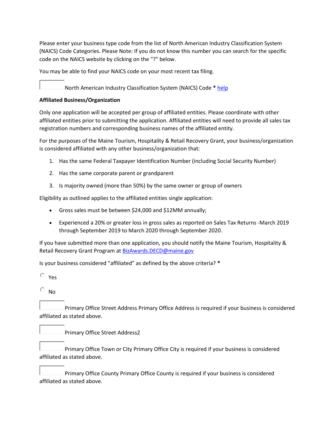Please enter your business type code from the list of North American Industry Classification System (NAICS) Code Categories. Please Note: If you do not know this number you can search for the specific code on the NAICS website by clicking on the "?" below.

You may be able to find your NAICS code on your most recent tax filing.

North American Industry Classification System (NAICS) Code **\*** [help](https://www.naics.com/search/)

#### **Affiliated Business/Organization**

Only one application will be accepted per group of affiliated entities. Please coordinate with other affiliated entities prior to submitting the application. Affiliated entities will need to provide all sales tax registration numbers and corresponding business names of the affiliated entity.

For the purposes of the Maine Tourism, Hospitality & Retail Recovery Grant, your business/organization is considered affiliated with any other business/organization that:

- 1. Has the same Federal Taxpayer Identification Number (including Social Security Number)
- 2. Has the same corporate parent or grandparent
- 3. Is majority owned (more than 50%) by the same owner or group of owners

Eligibility as outlined applies to the affiliated entities single application:

- Gross sales must be between \$24,000 and \$12MM annually;
- Experienced a 20% or greater loss in gross sales as reported on Sales Tax Returns -March 2019 through September 2019 to March 2020 through September 2020.

If you have submitted more than one application, you should notify the Maine Tourism, Hospitality & Retail Recovery Grant Program at [BizAwards.DECD@maine.gov](mailto:BizAwards.DECD@maine.gov)

Is your business considered "affiliated" as defined by the above criteria? **\***

 $\circ$  Yes

 $\circ$  No

Primary Office Street Address Primary Office Address is required if your business is considered affiliated as stated above.

Primary Office Street Address2

Primary Office Town or City Primary Office City is required if your business is considered affiliated as stated above.

Primary Office County Primary Office County is required if your business is considered affiliated as stated above.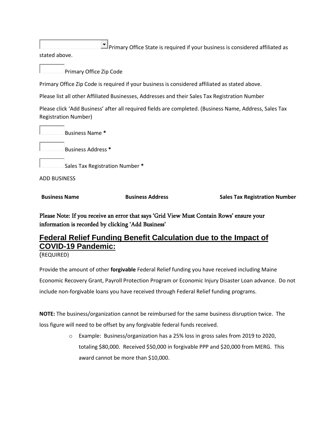$\blacktriangleright$  Primary Office State is required if your business is considered affiliated as

stated above.

Primary Office Zip Code

Primary Office Zip Code is required if your business is considered affiliated as stated above.

Please list all other Affiliated Businesses, Addresses and their Sales Tax Registration Number

Please click 'Add Business' after all required fields are completed. (Business Name, Address, Sales Tax Registration Number)

Business Name **\***

Business Address **\***

Sales Tax Registration Number **\***

ADD BUSINESS

**Business Name Business Address Sales Tax Registration Number**

Please Note: If you receive an error that says 'Grid View Must Contain Rows' ensure your information is recorded by clicking 'Add Business'

## **Federal Relief Funding Benefit Calculation due to the Impact of COVID-19 Pandemic:**

(REQUIRED)

Provide the amount of other **forgivable** Federal Relief funding you have received including Maine Economic Recovery Grant, Payroll Protection Program or Economic Injury Disaster Loan advance. Do not include non-forgivable loans you have received through Federal Relief funding programs.

**NOTE:** The business/organization cannot be reimbursed for the same business disruption twice. The loss figure will need to be offset by any forgivable federal funds received.

> o Example: Business/organization has a 25% loss in gross sales from 2019 to 2020, totaling \$80,000. Received \$50,000 in forgivable PPP and \$20,000 from MERG. This award cannot be more than \$10,000.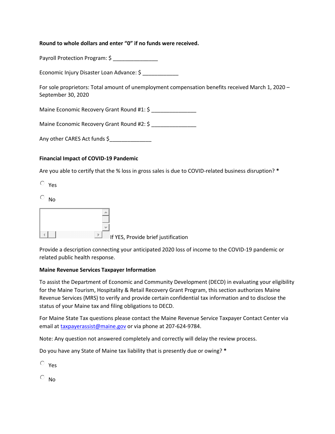#### **Round to whole dollars and enter "0" if no funds were received.**

Payroll Protection Program: \$

Economic Injury Disaster Loan Advance: \$

For sole proprietors: Total amount of unemployment compensation benefits received March 1, 2020 – September 30, 2020

Maine Economic Recovery Grant Round #1: \$

Maine Economic Recovery Grant Round #2: \$

Any other CARES Act funds \$

#### **Financial Impact of COVID-19 Pandemic**

Are you able to certify that the % loss in gross sales is due to COVID-related business disruption? **\***

 $\overline{O}$  Yes

 $\overline{\circ}$  No

| . |  |
|---|--|

If YES, Provide brief justification

Provide a description connecting your anticipated 2020 loss of income to the COVID-19 pandemic or related public health response.

#### **Maine Revenue Services Taxpayer Information**

To assist the Department of Economic and Community Development (DECD) in evaluating your eligibility for the Maine Tourism, Hospitality & Retail Recovery Grant Program, this section authorizes Maine Revenue Services (MRS) to verify and provide certain confidential tax information and to disclose the status of your Maine tax and filing obligations to DECD.

For Maine State Tax questions please contact the Maine Revenue Service Taxpayer Contact Center via email at [taxpayerassist@maine.gov](mailto:taxpayerassist@maine.gov) or via phone at 207-624-9784.

Note: Any question not answered completely and correctly will delay the review process.

Do you have any State of Maine tax liability that is presently due or owing? **\***

 $\overline{\mathsf{y}}_{\mathsf{p}\mathsf{S}}$ 

 $\circ$  No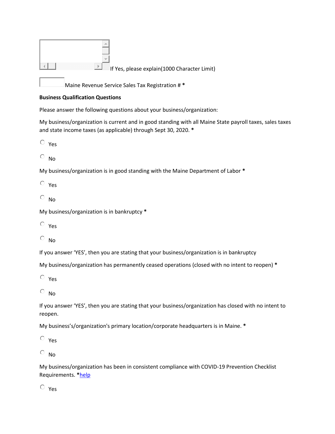| If Yes, please explain(1000 Character Limit) |
|----------------------------------------------|

Maine Revenue Service Sales Tax Registration # **\***

### **Business Qualification Questions**

Please answer the following questions about your business/organization:

My business/organization is current and in good standing with all Maine State payroll taxes, sales taxes and state income taxes (as applicable) through Sept 30, 2020. **\***

 $\circ$  Yes

 $\overline{\circ}$  No

My business/organization is in good standing with the Maine Department of Labor **\***

 $\circ$  Yes

 $\overline{\circ}$  No

```
My business/organization is in bankruptcy *
```
 $\circ$  Yes

 $\circ$  No

If you answer 'YES', then you are stating that your business/organization is in bankruptcy

My business/organization has permanently ceased operations (closed with no intent to reopen) **\***

 $\circ$  Yes

 $\overline{\circ}$  No

If you answer 'YES', then you are stating that your business/organization has closed with no intent to reopen.

My business's/organization's primary location/corporate headquarters is in Maine. **\***

 $\circ$  Yes

 $\circ$  No

My business/organization has been in consistent compliance with COVID-19 Prevention Checklist Requirements. **\***[help](https://www.maine.gov/decd/covid-19-prevention-checklists)

Yes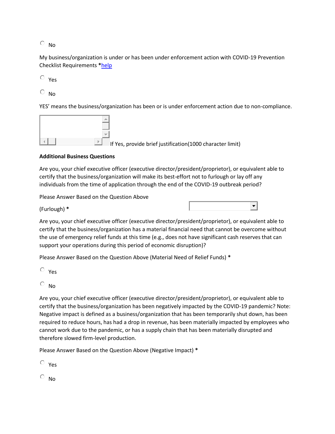$\circ$  No

My business/organization is under or has been under enforcement action with COVID-19 Prevention Checklist Requirements **\***[help](https://www.maine.gov/decd/covid-19-prevention-checklists)

Yes

 $\circ$  No

YES' means the business/organization has been or is under enforcement action due to non-compliance.



If Yes, provide brief justification(1000 character limit)

 $\vert \cdot \vert$ 

#### **Additional Business Questions**

Are you, your chief executive officer (executive director/president/proprietor), or equivalent able to certify that the business/organization will make its best-effort not to furlough or lay off any individuals from the time of application through the end of the COVID-19 outbreak period?

Please Answer Based on the Question Above

(Furlough) **\***

Are you, your chief executive officer (executive director/president/proprietor), or equivalent able to certify that the business/organization has a material financial need that cannot be overcome without the use of emergency relief funds at this time (e.g., does not have significant cash reserves that can support your operations during this period of economic disruption)?

Please Answer Based on the Question Above (Material Need of Relief Funds) **\***

 $\circ$  Yes

 $\circ$  No

Are you, your chief executive officer (executive director/president/proprietor), or equivalent able to certify that the business/organization has been negatively impacted by the COVID-19 pandemic? Note: Negative impact is defined as a business/organization that has been temporarily shut down, has been required to reduce hours, has had a drop in revenue, has been materially impacted by employees who cannot work due to the pandemic, or has a supply chain that has been materially disrupted and therefore slowed firm-level production.

Please Answer Based on the Question Above (Negative Impact) **\***

 $\circ$  Yes

 $\circ$  No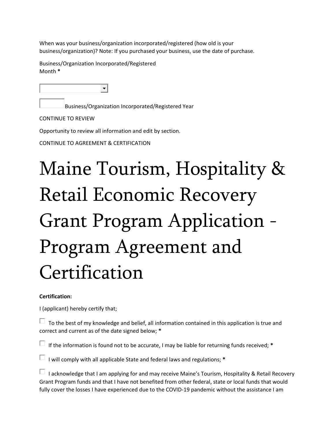When was your business/organization incorporated/registered (how old is your business/organization)? Note: If you purchased your business, use the date of purchase.

Business/Organization Incorporated/Registered Month **\***

Business/Organization Incorporated/Registered Year

## CONTINUE TO REVIEW

Opportunity to review all information and edit by section.

CONTINUE TO AGREEMENT & CERTIFICATION

# Maine Tourism, Hospitality & Retail Economic Recovery Grant Program Application - Program Agreement and Certification

## **Certification:**

I (applicant) hereby certify that;

 $\Box$  To the best of my knowledge and belief, all information contained in this application is true and correct and current as of the date signed below; **\***

If the information is found not to be accurate, I may be liable for returning funds received; **\***

 $\Box$  I will comply with all applicable State and federal laws and regulations;  $^*$ 

 $\Box$  I acknowledge that I am applying for and may receive Maine's Tourism, Hospitality & Retail Recovery Grant Program funds and that I have not benefited from other federal, state or local funds that would fully cover the losses I have experienced due to the COVID-19 pandemic without the assistance I am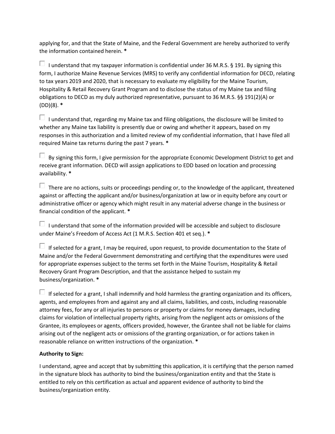applying for, and that the State of Maine, and the Federal Government are hereby authorized to verify the information contained herein. **\***

 $\Box$  I understand that my taxpayer information is confidential under 36 M.R.S. § 191. By signing this form, I authorize Maine Revenue Services (MRS) to verify any confidential information for DECD, relating to tax years 2019 and 2020, that is necessary to evaluate my eligibility for the Maine Tourism, Hospitality & Retail Recovery Grant Program and to disclose the status of my Maine tax and filing obligations to DECD as my duly authorized representative, pursuant to 36 M.R.S. §§ 191(2)(A) or (DD)(8). **\***

 $\Box$  I understand that, regarding my Maine tax and filing obligations, the disclosure will be limited to whether any Maine tax liability is presently due or owing and whether it appears, based on my responses in this authorization and a limited review of my confidential information, that I have filed all required Maine tax returns during the past 7 years. **\***

 $\Box$  By signing this form, I give permission for the appropriate Economic Development District to get and receive grant information. DECD will assign applications to EDD based on location and processing availability. **\***

 $\Box$  There are no actions, suits or proceedings pending or, to the knowledge of the applicant, threatened against or affecting the applicant and/or business/organization at law or in equity before any court or administrative officer or agency which might result in any material adverse change in the business or financial condition of the applicant. **\***

 $\Box$  I understand that some of the information provided will be accessible and subject to disclosure under Maine's Freedom of Access Act (1 M.R.S. Section 401 et seq.). **\***

 $\Box$  If selected for a grant, I may be required, upon request, to provide documentation to the State of Maine and/or the Federal Government demonstrating and certifying that the expenditures were used for appropriate expenses subject to the terms set forth in the Maine Tourism, Hospitality & Retail Recovery Grant Program Description, and that the assistance helped to sustain my business/organization. **\***

 $\Box$  If selected for a grant, I shall indemnify and hold harmless the granting organization and its officers, agents, and employees from and against any and all claims, liabilities, and costs, including reasonable attorney fees, for any or all injuries to persons or property or claims for money damages, including claims for violation of intellectual property rights, arising from the negligent acts or omissions of the Grantee, its employees or agents, officers provided, however, the Grantee shall not be liable for claims arising out of the negligent acts or omissions of the granting organization, or for actions taken in reasonable reliance on written instructions of the organization. **\***

## **Authority to Sign:**

I understand, agree and accept that by submitting this application, it is certifying that the person named in the signature block has authority to bind the business/organization entity and that the State is entitled to rely on this certification as actual and apparent evidence of authority to bind the business/organization entity.